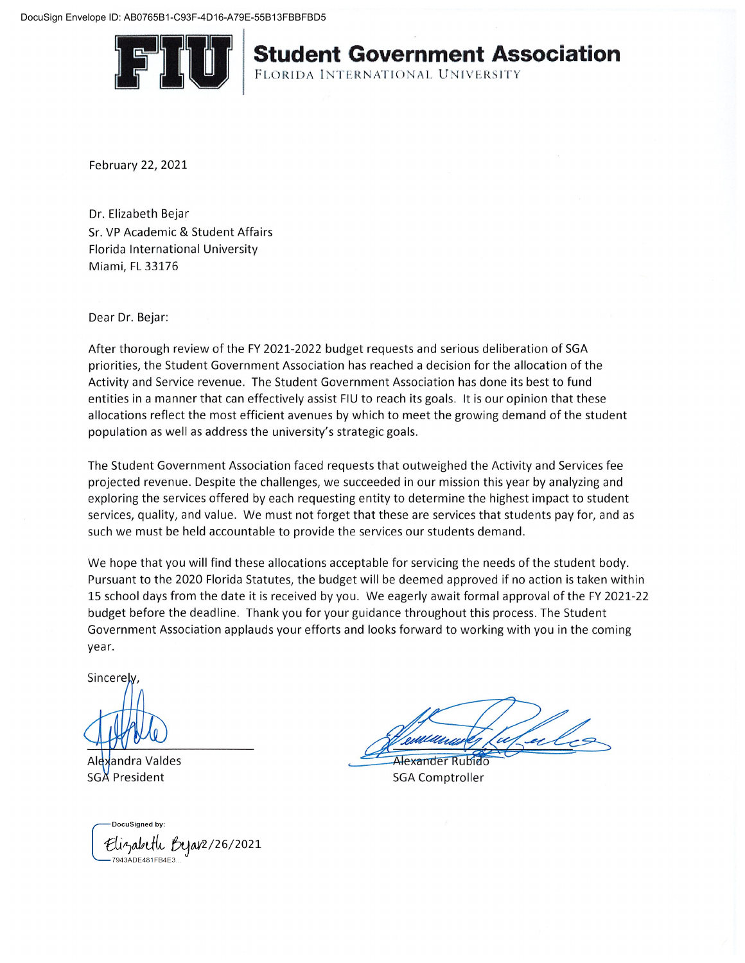

## **Student Government Association**

FLORIDA INTERNATIONAL UNIVERSITY

February 22, 2021

Dr. Elizabeth Bejar Sr. VP Academic & Student Affairs Florida International University Miami, FL 33176

Dear Dr. Bejar:

After thorough review of the FY 2021-2022 budget requests and serious deliberation of SGA priorities, the Student Government Association has reached a decision for the allocation of the Activity and Service revenue. The Student Government Association has done its best to fund entities in a manner that can effectively assist FIU to reach its goals. It is our opinion that these allocations reflect the most efficient avenues by which to meet the growing demand of the student population as well as address the university's strategic goals.

The Student Government Association faced requests that outweighed the Activity and Services fee projected revenue. Despite the challenges, we succeeded in our mission this year by analyzing and exploring the services offered by each requesting entity to determine the highest impact to student services, quality, and value. We must not forget that these are services that students pay for, and as such we must be held accountable to provide the services our students demand.

We hope that you will find these allocations acceptable for servicing the needs of the student body. Pursuant to the 2020 Florida Statutes, the budget will be deemed approved if no action is taken within 15 school days from the date it is received by you. We eagerly await formal approval of the FY 2021-22 budget before the deadline. Thank you for your guidance throughout this process. The Student Government Association applauds your efforts and looks forward to working with you in the coming year.

Sincerel

Alexandra Valdes **SGA President** 

DocuSigned by Elizabeth Bejar2/26/2021 7943ADE481FB4E3.

Alexander Rubido

**SGA Comptroller**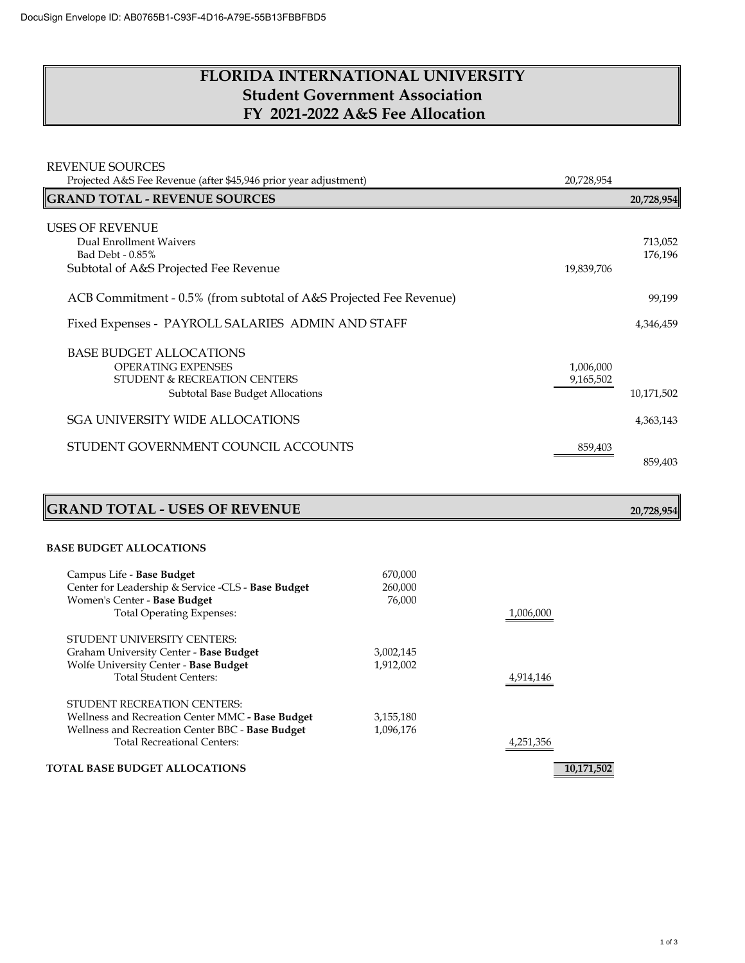## **FLORIDA INTERNATIONAL UNIVERSITY Student Government Association FY 2021-2022 A&S Fee Allocation**

| <b>REVENUE SOURCES</b><br>Projected A&S Fee Revenue (after \$45,946 prior year adjustment) | 20,728,954 |            |
|--------------------------------------------------------------------------------------------|------------|------------|
| <b>GRAND TOTAL - REVENUE SOURCES</b>                                                       |            | 20,728,954 |
| <b>USES OF REVENUE</b>                                                                     |            |            |
| Dual Enrollment Waivers                                                                    |            | 713,052    |
| Bad Debt - 0.85%                                                                           |            | 176,196    |
| Subtotal of A&S Projected Fee Revenue                                                      | 19,839,706 |            |
| ACB Commitment - 0.5% (from subtotal of A&S Projected Fee Revenue)                         |            | 99,199     |
| Fixed Expenses - PAYROLL SALARIES ADMIN AND STAFF                                          |            | 4,346,459  |
| <b>BASE BUDGET ALLOCATIONS</b>                                                             |            |            |
| <b>OPERATING EXPENSES</b>                                                                  | 1,006,000  |            |
| STUDENT & RECREATION CENTERS                                                               | 9,165,502  |            |
| <b>Subtotal Base Budget Allocations</b>                                                    |            | 10,171,502 |
| <b>SGA UNIVERSITY WIDE ALLOCATIONS</b>                                                     |            | 4,363,143  |
| STUDENT GOVERNMENT COUNCIL ACCOUNTS                                                        | 859,403    |            |
|                                                                                            |            | 859,403    |

# **GRAND TOTAL - USES OF REVENUE 20,728,954**

#### **BASE BUDGET ALLOCATIONS**

| Campus Life - Base Budget                          | 670,000   |            |
|----------------------------------------------------|-----------|------------|
| Center for Leadership & Service -CLS - Base Budget | 260,000   |            |
| Women's Center - Base Budget                       | 76,000    |            |
| <b>Total Operating Expenses:</b>                   |           | 1.006.000  |
| STUDENT UNIVERSITY CENTERS:                        |           |            |
| Graham University Center - Base Budget             | 3,002,145 |            |
| Wolfe University Center - Base Budget              | 1,912,002 |            |
| Total Student Centers:                             |           | 4,914,146  |
| STUDENT RECREATION CENTERS:                        |           |            |
| Wellness and Recreation Center MMC - Base Budget   | 3,155,180 |            |
| Wellness and Recreation Center BBC - Base Budget   | 1,096,176 |            |
| <b>Total Recreational Centers:</b>                 |           | 4,251,356  |
| <b>TOTAL BASE BUDGET ALLOCATIONS</b>               |           | 10,171,502 |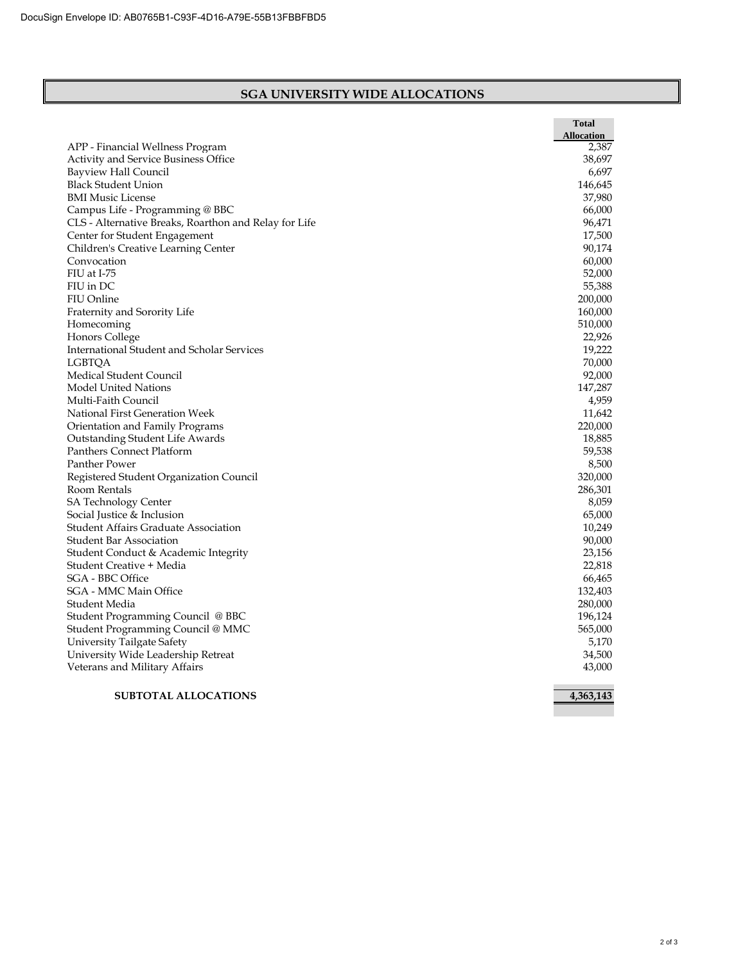#### **SGA UNIVERSITY WIDE ALLOCATIONS**

|                                                       | Total<br>Allocation |
|-------------------------------------------------------|---------------------|
| APP - Financial Wellness Program                      | 2,387               |
| Activity and Service Business Office                  | 38,697              |
| Bayview Hall Council                                  | 6,697               |
| <b>Black Student Union</b>                            | 146,645             |
| <b>BMI Music License</b>                              | 37,980              |
| Campus Life - Programming @ BBC                       | 66,000              |
| CLS - Alternative Breaks, Roarthon and Relay for Life | 96,471              |
| Center for Student Engagement                         | 17,500              |
| Children's Creative Learning Center                   | 90,174              |
| Convocation                                           | 60,000              |
| FIU at I-75                                           | 52,000              |
| FIU in DC                                             | 55,388              |
| FIU Online                                            | 200,000             |
| Fraternity and Sorority Life                          | 160,000             |
| Homecoming                                            | 510,000             |
| <b>Honors College</b>                                 | 22,926              |
| <b>International Student and Scholar Services</b>     | 19,222              |
| LGBTQA                                                | 70,000              |
| Medical Student Council                               | 92,000              |
| <b>Model United Nations</b>                           | 147,287             |
| Multi-Faith Council                                   | 4,959               |
| National First Generation Week                        | 11,642              |
| Orientation and Family Programs                       | 220,000             |
| Outstanding Student Life Awards                       | 18,885              |
| <b>Panthers Connect Platform</b>                      | 59,538              |
| Panther Power                                         | 8,500               |
| Registered Student Organization Council               | 320,000             |
| Room Rentals                                          | 286,301             |
| <b>SA Technology Center</b>                           | 8,059               |
| Social Justice & Inclusion                            | 65,000              |
| <b>Student Affairs Graduate Association</b>           | 10,249              |
| <b>Student Bar Association</b>                        | 90,000              |
| Student Conduct & Academic Integrity                  | 23,156              |
| Student Creative + Media                              | 22.818              |
| <b>SGA - BBC Office</b>                               | 66,465              |
| SGA - MMC Main Office                                 | 132,403             |
| Student Media                                         | 280,000             |
| Student Programming Council @ BBC                     | 196,124             |
| Student Programming Council @ MMC                     | 565,000             |
| University Tailgate Safety                            | 5,170               |
| University Wide Leadership Retreat                    | 34,500              |
| Veterans and Military Affairs                         | 43,000              |
| <b>SUBTOTAL ALLOCATIONS</b>                           | 4,363,143           |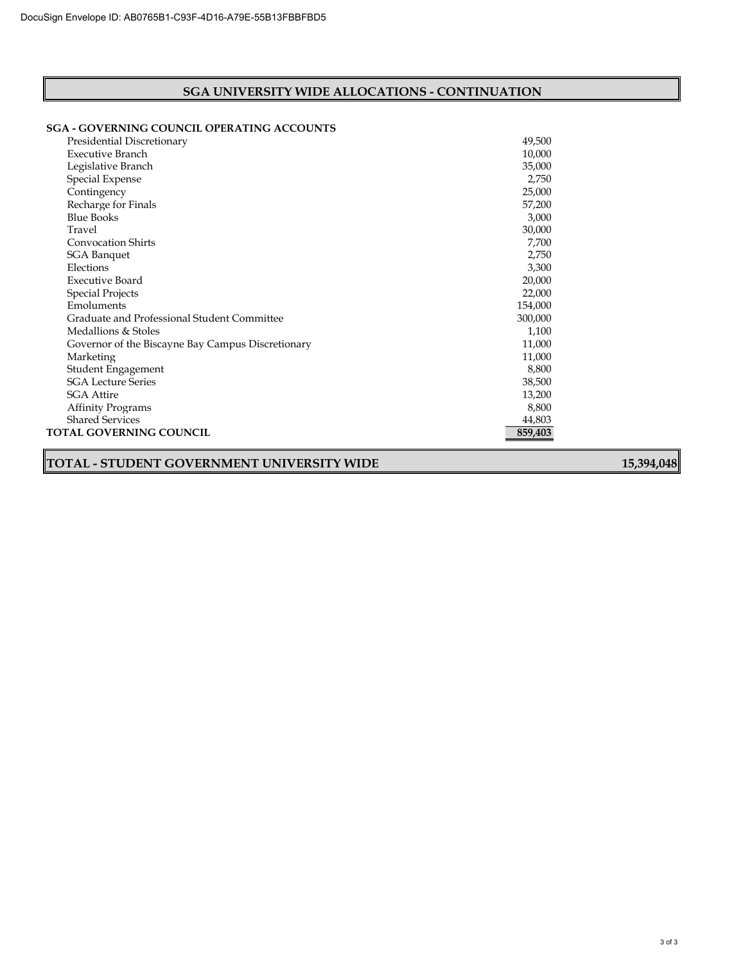#### **SGA UNIVERSITY WIDE ALLOCATIONS - CONTINUATION**

#### **SGA - GOVERNING COUNCIL OPERATING ACCOUNTS**

| Presidential Discretionary                        | 49,500  |
|---------------------------------------------------|---------|
| Executive Branch                                  | 10,000  |
| Legislative Branch                                | 35,000  |
| Special Expense                                   | 2,750   |
| Contingency                                       | 25,000  |
| Recharge for Finals                               | 57,200  |
| <b>Blue Books</b>                                 | 3,000   |
| Travel                                            | 30,000  |
| <b>Convocation Shirts</b>                         | 7,700   |
| <b>SGA Banquet</b>                                | 2,750   |
| Elections                                         | 3,300   |
| <b>Executive Board</b>                            | 20,000  |
| <b>Special Projects</b>                           | 22,000  |
| Emoluments                                        | 154,000 |
| Graduate and Professional Student Committee       | 300,000 |
| Medallions & Stoles                               | 1,100   |
| Governor of the Biscayne Bay Campus Discretionary | 11,000  |
| Marketing                                         | 11,000  |
| Student Engagement                                | 8,800   |
| <b>SGA Lecture Series</b>                         | 38,500  |
| <b>SGA Attire</b>                                 | 13,200  |
| <b>Affinity Programs</b>                          | 8,800   |
| <b>Shared Services</b>                            | 44,803  |
| TOTAL GOVERNING COUNCIL                           | 859,403 |

## **TOTAL - STUDENT GOVERNMENT UNIVERSITY WIDE 15,394,048**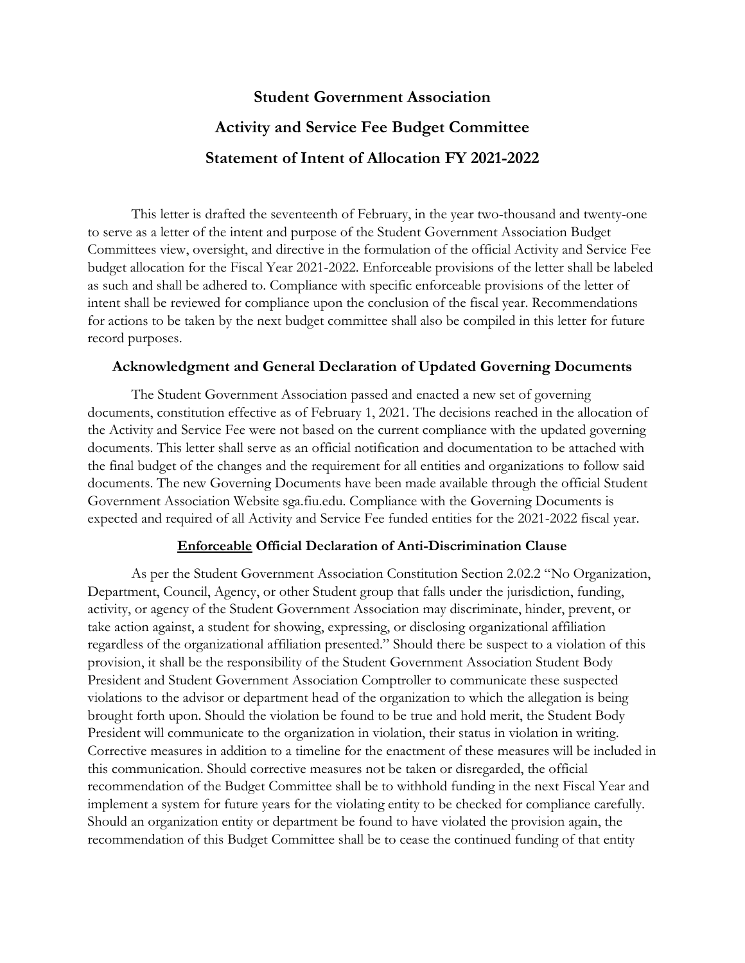## **Student Government Association Activity and Service Fee Budget Committee Statement of Intent of Allocation FY 2021-2022**

This letter is drafted the seventeenth of February, in the year two-thousand and twenty-one to serve as a letter of the intent and purpose of the Student Government Association Budget Committees view, oversight, and directive in the formulation of the official Activity and Service Fee budget allocation for the Fiscal Year 2021-2022. Enforceable provisions of the letter shall be labeled as such and shall be adhered to. Compliance with specific enforceable provisions of the letter of intent shall be reviewed for compliance upon the conclusion of the fiscal year. Recommendations for actions to be taken by the next budget committee shall also be compiled in this letter for future record purposes.

### **Acknowledgment and General Declaration of Updated Governing Documents**

The Student Government Association passed and enacted a new set of governing documents, constitution effective as of February 1, 2021. The decisions reached in the allocation of the Activity and Service Fee were not based on the current compliance with the updated governing documents. This letter shall serve as an official notification and documentation to be attached with the final budget of the changes and the requirement for all entities and organizations to follow said documents. The new Governing Documents have been made available through the official Student Government Association Website sga.fiu.edu. Compliance with the Governing Documents is expected and required of all Activity and Service Fee funded entities for the 2021-2022 fiscal year.

### **Enforceable Official Declaration of Anti-Discrimination Clause**

As per the Student Government Association Constitution Section 2.02.2 "No Organization, Department, Council, Agency, or other Student group that falls under the jurisdiction, funding, activity, or agency of the Student Government Association may discriminate, hinder, prevent, or take action against, a student for showing, expressing, or disclosing organizational affiliation regardless of the organizational affiliation presented." Should there be suspect to a violation of this provision, it shall be the responsibility of the Student Government Association Student Body President and Student Government Association Comptroller to communicate these suspected violations to the advisor or department head of the organization to which the allegation is being brought forth upon. Should the violation be found to be true and hold merit, the Student Body President will communicate to the organization in violation, their status in violation in writing. Corrective measures in addition to a timeline for the enactment of these measures will be included in this communication. Should corrective measures not be taken or disregarded, the official recommendation of the Budget Committee shall be to withhold funding in the next Fiscal Year and implement a system for future years for the violating entity to be checked for compliance carefully. Should an organization entity or department be found to have violated the provision again, the recommendation of this Budget Committee shall be to cease the continued funding of that entity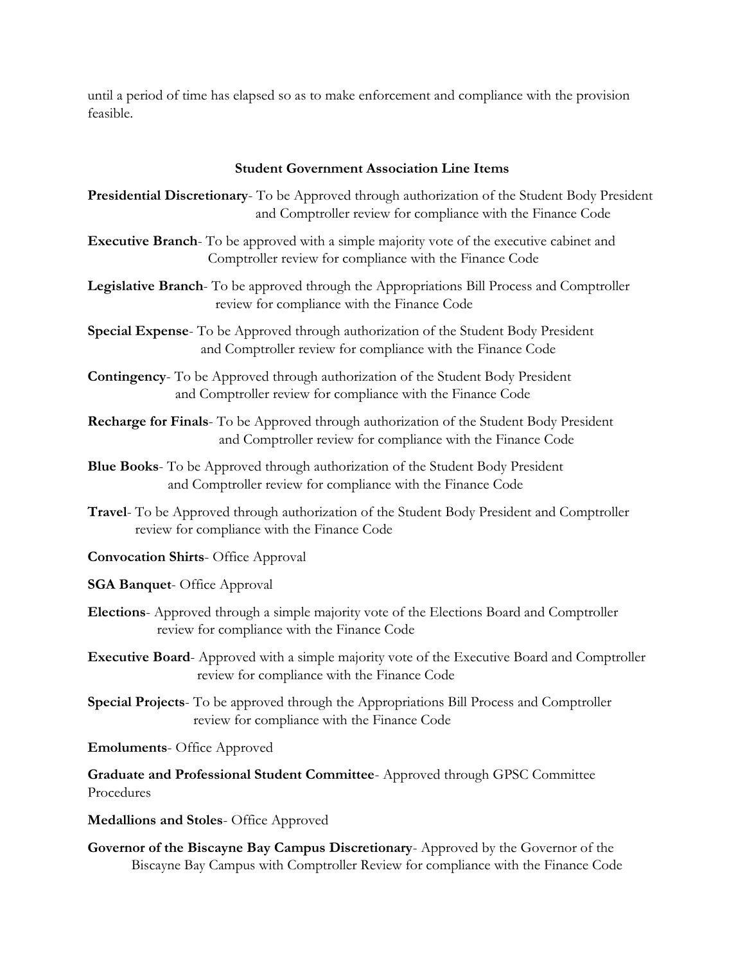until a period of time has elapsed so as to make enforcement and compliance with the provision feasible.

#### **Student Government Association Line Items**

**Presidential Discretionary**- To be Approved through authorization of the Student Body President and Comptroller review for compliance with the Finance Code

- **Executive Branch** To be approved with a simple majority vote of the executive cabinet and Comptroller review for compliance with the Finance Code
- **Legislative Branch** To be approved through the Appropriations Bill Process and Comptroller review for compliance with the Finance Code
- **Special Expense** To be Approved through authorization of the Student Body President and Comptroller review for compliance with the Finance Code
- **Contingency** To be Approved through authorization of the Student Body President and Comptroller review for compliance with the Finance Code

**Recharge for Finals**- To be Approved through authorization of the Student Body President and Comptroller review for compliance with the Finance Code

- **Blue Books** To be Approved through authorization of the Student Body President and Comptroller review for compliance with the Finance Code
- **Travel** To be Approved through authorization of the Student Body President and Comptroller review for compliance with the Finance Code
- **Convocation Shirts** Office Approval

**SGA Banquet**- Office Approval

- **Elections** Approved through a simple majority vote of the Elections Board and Comptroller review for compliance with the Finance Code
- **Executive Board** Approved with a simple majority vote of the Executive Board and Comptroller review for compliance with the Finance Code
- **Special Projects** To be approved through the Appropriations Bill Process and Comptroller review for compliance with the Finance Code

**Emoluments**- Office Approved

**Graduate and Professional Student Committee**- Approved through GPSC Committee Procedures

**Medallions and Stoles**- Office Approved

**Governor of the Biscayne Bay Campus Discretionary**- Approved by the Governor of the Biscayne Bay Campus with Comptroller Review for compliance with the Finance Code